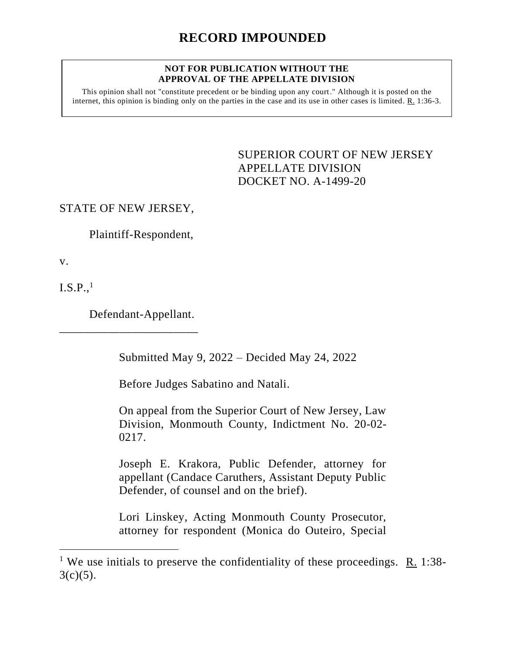## **NOT FOR PUBLICATION WITHOUT THE APPROVAL OF THE APPELLATE DIVISION**

This opinion shall not "constitute precedent or be binding upon any court." Although it is posted on the internet, this opinion is binding only on the parties in the case and its use in other cases is limited. R. 1:36-3.

> <span id="page-0-0"></span>SUPERIOR COURT OF NEW JERSEY APPELLATE DIVISION DOCKET NO. A-1499-20

STATE OF NEW JERSEY,

Plaintiff-Respondent,

v.

 $I.S.P.,<sup>1</sup>$ 

Defendant-Appellant.

\_\_\_\_\_\_\_\_\_\_\_\_\_\_\_\_\_\_\_\_\_\_\_

Submitted May 9, 2022 – Decided May 24, 2022

Before Judges Sabatino and Natali.

On appeal from the Superior Court of New Jersey, Law Division, Monmouth County, Indictment No. 20-02- 0217.

Joseph E. Krakora, Public Defender, attorney for appellant (Candace Caruthers, Assistant Deputy Public Defender, of counsel and on the brief).

Lori Linskey, Acting Monmouth County Prosecutor, attorney for respondent (Monica do Outeiro, Special

<sup>&</sup>lt;sup>1</sup> We use initials to preserve the confidentiality of these proceedings. R. 1:38- $3(c)(5)$ .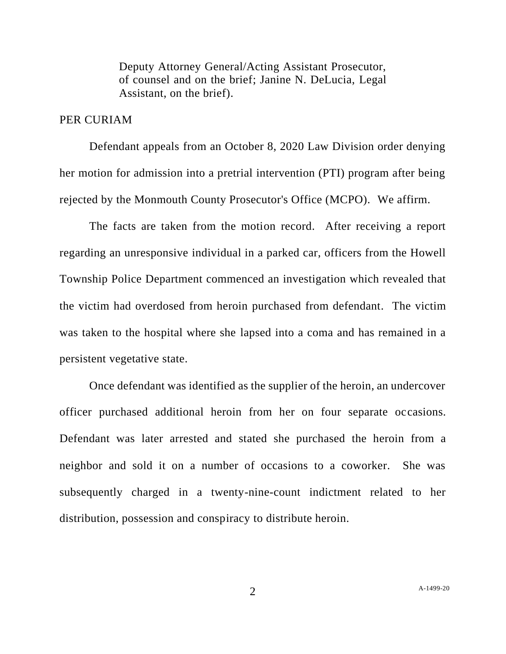Deputy Attorney General/Acting Assistant Prosecutor, of counsel and on the brief; Janine N. DeLucia, Legal Assistant, on the brief).

## PER CURIAM

Defendant appeals from an October 8, 2020 Law Division order denying her motion for admission into a pretrial intervention (PTI) program after being rejected by the Monmouth County Prosecutor's Office (MCPO). We affirm.

The facts are taken from the motion record. After receiving a report regarding an unresponsive individual in a parked car, officers from the Howell Township Police Department commenced an investigation which revealed that the victim had overdosed from heroin purchased from defendant. The victim was taken to the hospital where she lapsed into a coma and has remained in a persistent vegetative state.

Once defendant was identified as the supplier of the heroin, an undercover officer purchased additional heroin from her on four separate occasions. Defendant was later arrested and stated she purchased the heroin from a neighbor and sold it on a number of occasions to a coworker. She was subsequently charged in a twenty-nine-count indictment related to her distribution, possession and conspiracy to distribute heroin.

2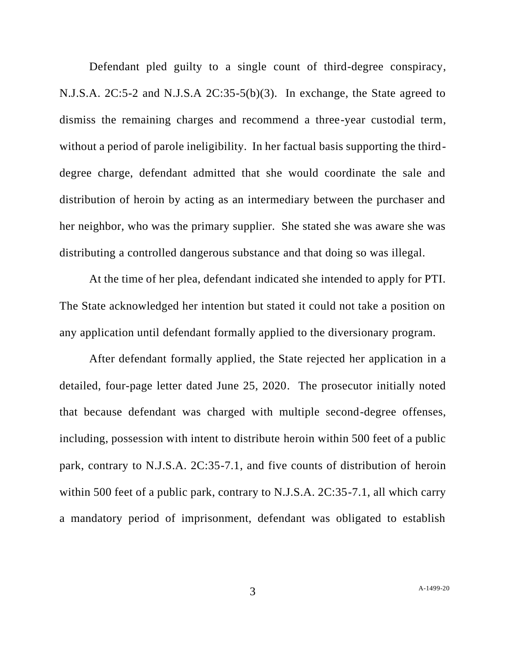Defendant pled guilty to a single count of third-degree conspiracy, N.J.S.A. 2C:5-2 and N.J.S.A 2C:35-5(b)(3). In exchange, the State agreed to dismiss the remaining charges and recommend a three-year custodial term, without a period of parole ineligibility. In her factual basis supporting the thirddegree charge, defendant admitted that she would coordinate the sale and distribution of heroin by acting as an intermediary between the purchaser and her neighbor, who was the primary supplier. She stated she was aware she was distributing a controlled dangerous substance and that doing so was illegal.

At the time of her plea, defendant indicated she intended to apply for PTI. The State acknowledged her intention but stated it could not take a position on any application until defendant formally applied to the diversionary program.

After defendant formally applied, the State rejected her application in a detailed, four-page letter dated June 25, 2020. The prosecutor initially noted that because defendant was charged with multiple second-degree offenses, including, possession with intent to distribute heroin within 500 feet of a public park, contrary to N.J.S.A. 2C:35-7.1, and five counts of distribution of heroin within 500 feet of a public park, contrary to N.J.S.A. 2C:35-7.1, all which carry a mandatory period of imprisonment, defendant was obligated to establish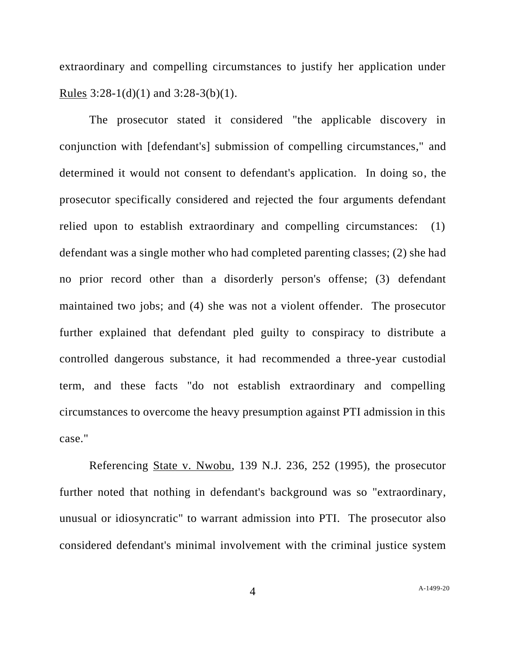extraordinary and compelling circumstances to justify her application under Rules  $3:28-1(d)(1)$  and  $3:28-3(b)(1)$ .

The prosecutor stated it considered "the applicable discovery in conjunction with [defendant's] submission of compelling circumstances," and determined it would not consent to defendant's application. In doing so, the prosecutor specifically considered and rejected the four arguments defendant relied upon to establish extraordinary and compelling circumstances: (1) defendant was a single mother who had completed parenting classes; (2) she had no prior record other than a disorderly person's offense; (3) defendant maintained two jobs; and (4) she was not a violent offender. The prosecutor further explained that defendant pled guilty to conspiracy to distribute a controlled dangerous substance, it had recommended a three-year custodial term, and these facts "do not establish extraordinary and compelling circumstances to overcome the heavy presumption against PTI admission in this case."

Referencing State v. Nwobu, 139 N.J. 236, 252 (1995), the prosecutor further noted that nothing in defendant's background was so "extraordinary, unusual or idiosyncratic" to warrant admission into PTI. The prosecutor also considered defendant's minimal involvement with the criminal justice system

4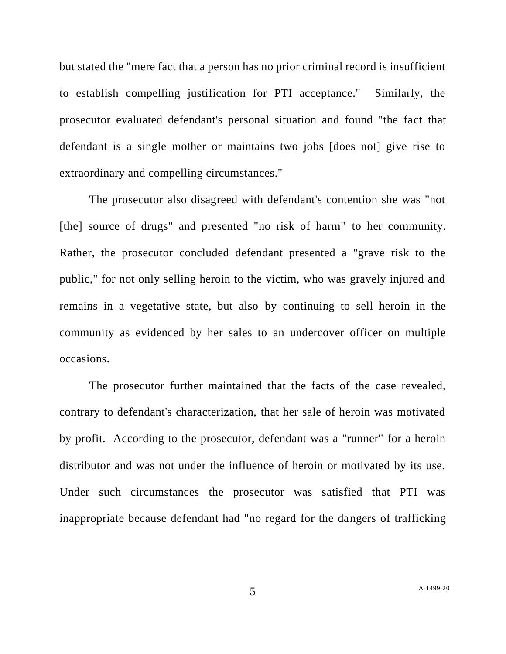but stated the "mere fact that a person has no prior criminal record is insufficient to establish compelling justification for PTI acceptance." Similarly, the prosecutor evaluated defendant's personal situation and found "the fact that defendant is a single mother or maintains two jobs [does not] give rise to extraordinary and compelling circumstances."

The prosecutor also disagreed with defendant's contention she was "not [the] source of drugs" and presented "no risk of harm" to her community. Rather, the prosecutor concluded defendant presented a "grave risk to the public," for not only selling heroin to the victim, who was gravely injured and remains in a vegetative state, but also by continuing to sell heroin in the community as evidenced by her sales to an undercover officer on multiple occasions.

The prosecutor further maintained that the facts of the case revealed, contrary to defendant's characterization, that her sale of heroin was motivated by profit. According to the prosecutor, defendant was a "runner" for a heroin distributor and was not under the influence of heroin or motivated by its use. Under such circumstances the prosecutor was satisfied that PTI was inappropriate because defendant had "no regard for the dangers of trafficking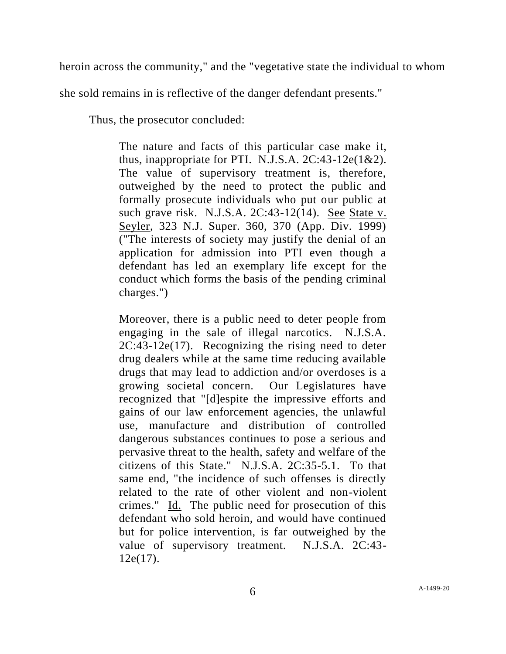heroin across the community," and the "vegetative state the individual to whom

she sold remains in is reflective of the danger defendant presents."

Thus, the prosecutor concluded:

The nature and facts of this particular case make it, thus, inappropriate for PTI. N.J.S.A.  $2C:43-12e(1&&2)$ . The value of supervisory treatment is, therefore, outweighed by the need to protect the public and formally prosecute individuals who put our public at such grave risk. N.J.S.A. 2C:43-12(14). See State v. Seyler, 323 N.J. Super. 360, 370 (App. Div. 1999) ("The interests of society may justify the denial of an application for admission into PTI even though a defendant has led an exemplary life except for the conduct which forms the basis of the pending criminal charges.")

Moreover, there is a public need to deter people from engaging in the sale of illegal narcotics. N.J.S.A. 2C:43-12e(17). Recognizing the rising need to deter drug dealers while at the same time reducing available drugs that may lead to addiction and/or overdoses is a growing societal concern. Our Legislatures have recognized that "[d]espite the impressive efforts and gains of our law enforcement agencies, the unlawful use, manufacture and distribution of controlled dangerous substances continues to pose a serious and pervasive threat to the health, safety and welfare of the citizens of this State." N.J.S.A. 2C:35-5.1. To that same end, "the incidence of such offenses is directly related to the rate of other violent and non-violent crimes." Id. The public need for prosecution of this defendant who sold heroin, and would have continued but for police intervention, is far outweighed by the value of supervisory treatment. N.J.S.A. 2C:43-  $12e(17)$ .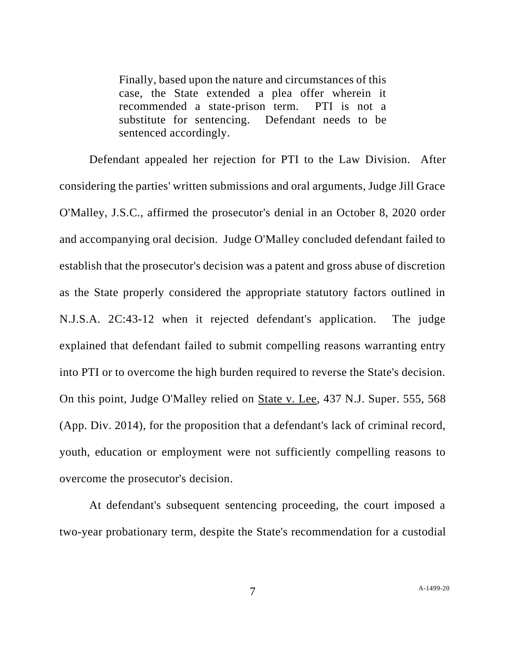Finally, based upon the nature and circumstances of this case, the State extended a plea offer wherein it recommended a state-prison term. PTI is not a substitute for sentencing. Defendant needs to be sentenced accordingly.

Defendant appealed her rejection for PTI to the Law Division. After considering the parties' written submissions and oral arguments, Judge Jill Grace O'Malley, J.S.C., affirmed the prosecutor's denial in an October 8, 2020 order and accompanying oral decision. Judge O'Malley concluded defendant failed to establish that the prosecutor's decision was a patent and gross abuse of discretion as the State properly considered the appropriate statutory factors outlined in N.J.S.A. 2C:43-12 when it rejected defendant's application. The judge explained that defendant failed to submit compelling reasons warranting entry into PTI or to overcome the high burden required to reverse the State's decision. On this point, Judge O'Malley relied on State v. Lee, 437 N.J. Super. 555, 568 (App. Div. 2014), for the proposition that a defendant's lack of criminal record, youth, education or employment were not sufficiently compelling reasons to overcome the prosecutor's decision.

At defendant's subsequent sentencing proceeding, the court imposed a two-year probationary term, despite the State's recommendation for a custodial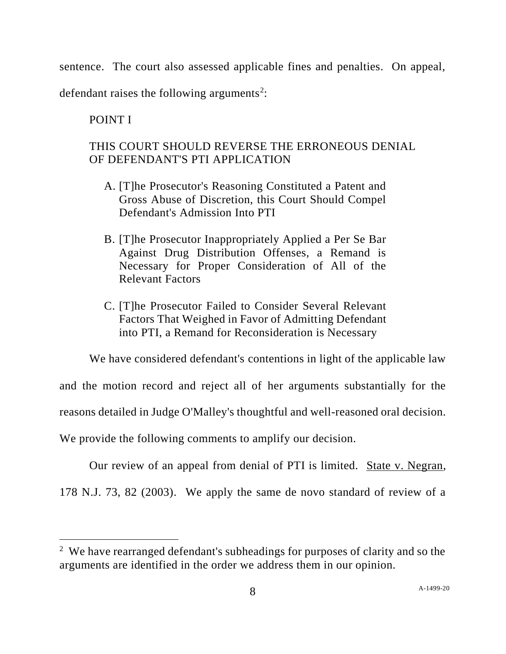sentence. The court also assessed applicable fines and penalties. On appeal, defendant raises the following arguments<sup>2</sup>:

## POINT I

## THIS COURT SHOULD REVERSE THE ERRONEOUS DENIAL OF DEFENDANT'S PTI APPLICATION

- A. [T]he Prosecutor's Reasoning Constituted a Patent and Gross Abuse of Discretion, this Court Should Compel Defendant's Admission Into PTI
- B. [T]he Prosecutor Inappropriately Applied a Per Se Bar Against Drug Distribution Offenses, a Remand is Necessary for Proper Consideration of All of the Relevant Factors
- C. [T]he Prosecutor Failed to Consider Several Relevant Factors That Weighed in Favor of Admitting Defendant into PTI, a Remand for Reconsideration is Necessary

We have considered defendant's contentions in light of the applicable law

and the motion record and reject all of her arguments substantially for the reasons detailed in Judge O'Malley's thoughtful and well-reasoned oral decision.

We provide the following comments to amplify our decision.

Our review of an appeal from denial of PTI is limited. State v. Negran, 178 N.J. 73, 82 (2003). We apply the same de novo standard of review of a

<sup>&</sup>lt;sup>2</sup> We have rearranged defendant's subheadings for purposes of clarity and so the arguments are identified in the order we address them in our opinion.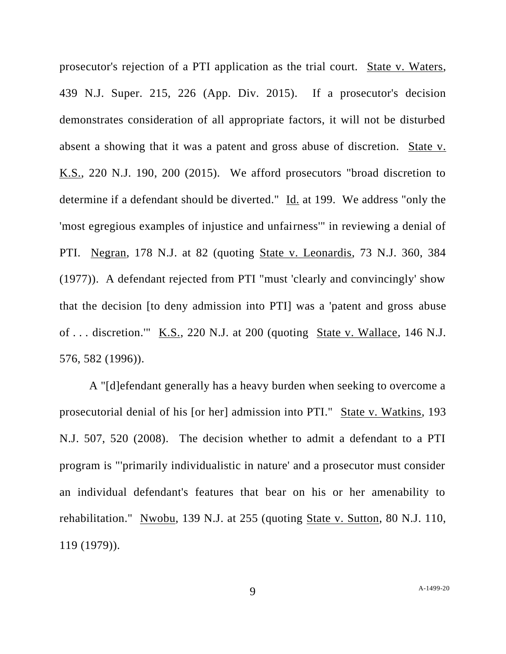prosecutor's rejection of a PTI application as the trial court. State v. Waters, 439 N.J. Super. 215, 226 (App. Div. 2015). If a prosecutor's decision demonstrates consideration of all appropriate factors, it will not be disturbed absent a showing that it was a patent and gross abuse of discretion. State v. K.S., 220 N.J. 190, 200 (2015). We afford prosecutors "broad discretion to determine if a defendant should be diverted." Id. at 199. We address "only the 'most egregious examples of injustice and unfairness'" in reviewing a denial of PTI. Negran, 178 N.J. at 82 (quoting State v. Leonardis, 73 N.J. 360, 384 (1977)). A defendant rejected from PTI "must 'clearly and convincingly' show that the decision [to deny admission into PTI] was a 'patent and gross abuse of . . . discretion.'" K.S., 220 N.J. at 200 (quoting State v. Wallace, 146 N.J. 576, 582 (1996)).

A "[d]efendant generally has a heavy burden when seeking to overcome a prosecutorial denial of his [or her] admission into PTI." State v. Watkins, 193 N.J. 507, 520 (2008). The decision whether to admit a defendant to a PTI program is "'primarily individualistic in nature' and a prosecutor must consider an individual defendant's features that bear on his or her amenability to rehabilitation." Nwobu, 139 N.J. at 255 (quoting State v. Sutton, 80 N.J. 110, 119 (1979)).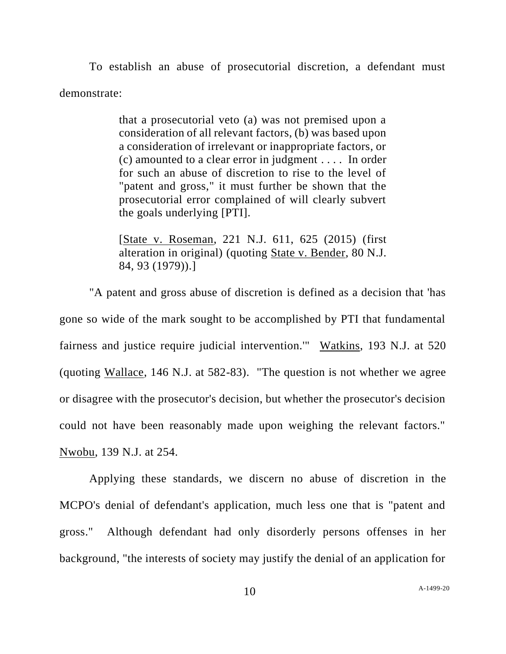To establish an abuse of prosecutorial discretion, a defendant must demonstrate:

> that a prosecutorial veto (a) was not premised upon a consideration of all relevant factors, (b) was based upon a consideration of irrelevant or inappropriate factors, or (c) amounted to a clear error in judgment . . . . In order for such an abuse of discretion to rise to the level of "patent and gross," it must further be shown that the prosecutorial error complained of will clearly subvert the goals underlying [PTI].

> [State v. Roseman, 221 N.J. 611, 625 (2015) (first alteration in original) (quoting State v. Bender, 80 N.J. 84, 93 (1979)).]

"A patent and gross abuse of discretion is defined as a decision that 'has gone so wide of the mark sought to be accomplished by PTI that fundamental fairness and justice require judicial intervention.'" Watkins, 193 N.J. at 520 (quoting Wallace, 146 N.J. at 582-83). "The question is not whether we agree or disagree with the prosecutor's decision, but whether the prosecutor's decision could not have been reasonably made upon weighing the relevant factors." Nwobu, 139 N.J. at 254.

Applying these standards, we discern no abuse of discretion in the MCPO's denial of defendant's application, much less one that is "patent and gross." Although defendant had only disorderly persons offenses in her background, "the interests of society may justify the denial of an application for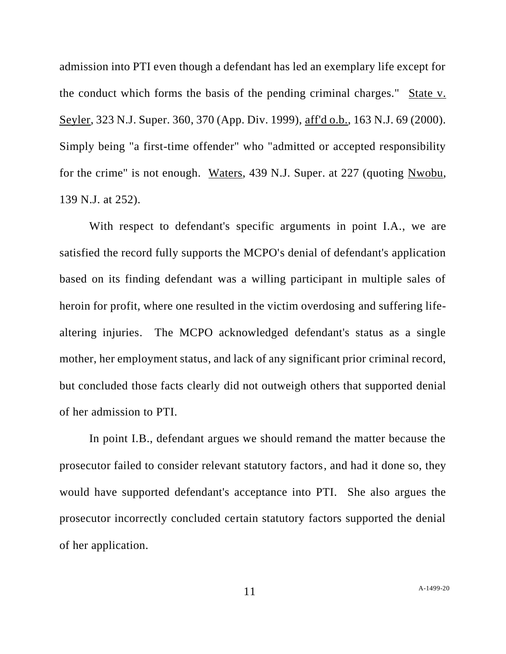admission into PTI even though a defendant has led an exemplary life except for the conduct which forms the basis of the pending criminal charges." State v. Seyler, 323 N.J. Super. 360, 370 (App. Div. 1999), aff'd o.b., 163 N.J. 69 (2000). Simply being "a first-time offender" who "admitted or accepted responsibility for the crime" is not enough. Waters, 439 N.J. Super. at 227 (quoting Nwobu, 139 N.J. at 252).

With respect to defendant's specific arguments in point I.A., we are satisfied the record fully supports the MCPO's denial of defendant's application based on its finding defendant was a willing participant in multiple sales of heroin for profit, where one resulted in the victim overdosing and suffering lifealtering injuries. The MCPO acknowledged defendant's status as a single mother, her employment status, and lack of any significant prior criminal record, but concluded those facts clearly did not outweigh others that supported denial of her admission to PTI.

In point I.B., defendant argues we should remand the matter because the prosecutor failed to consider relevant statutory factors, and had it done so, they would have supported defendant's acceptance into PTI. She also argues the prosecutor incorrectly concluded certain statutory factors supported the denial of her application.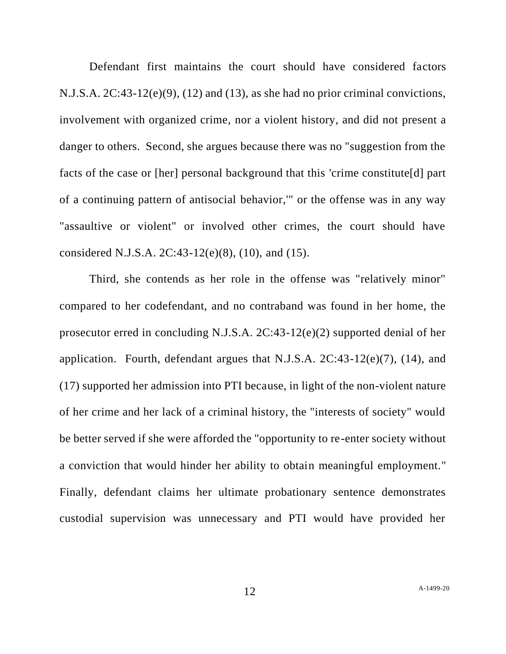Defendant first maintains the court should have considered factors N.J.S.A. 2C:43-12(e)(9), (12) and (13), as she had no prior criminal convictions, involvement with organized crime, nor a violent history, and did not present a danger to others. Second, she argues because there was no "suggestion from the facts of the case or [her] personal background that this 'crime constitute[d] part of a continuing pattern of antisocial behavior,'" or the offense was in any way "assaultive or violent" or involved other crimes, the court should have considered N.J.S.A. 2C:43-12(e)(8), (10), and (15).

Third, she contends as her role in the offense was "relatively minor" compared to her codefendant, and no contraband was found in her home, the prosecutor erred in concluding N.J.S.A. 2C:43-12(e)(2) supported denial of her application. Fourth, defendant argues that N.J.S.A.  $2C:43-12(e)(7)$ , (14), and (17) supported her admission into PTI because, in light of the non-violent nature of her crime and her lack of a criminal history, the "interests of society" would be better served if she were afforded the "opportunity to re-enter society without a conviction that would hinder her ability to obtain meaningful employment." Finally, defendant claims her ultimate probationary sentence demonstrates custodial supervision was unnecessary and PTI would have provided her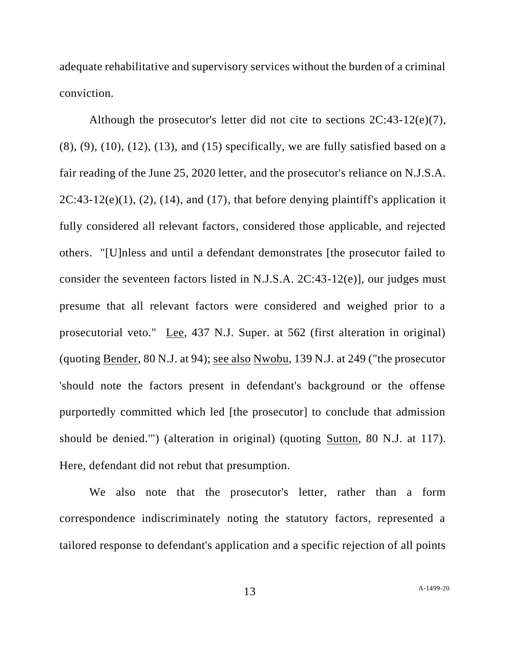adequate rehabilitative and supervisory services without the burden of a criminal conviction.

Although the prosecutor's letter did not cite to sections 2C:43-12(e)(7),  $(8)$ ,  $(9)$ ,  $(10)$ ,  $(12)$ ,  $(13)$ , and  $(15)$  specifically, we are fully satisfied based on a fair reading of the June 25, 2020 letter, and the prosecutor's reliance on N.J.S.A.  $2C:43-12(e)(1)$ ,  $(2)$ ,  $(14)$ , and  $(17)$ , that before denying plaintiff's application it fully considered all relevant factors, considered those applicable, and rejected others. "[U]nless and until a defendant demonstrates [the prosecutor failed to consider the seventeen factors listed in N.J.S.A. 2C:43-12(e)], our judges must presume that all relevant factors were considered and weighed prior to a prosecutorial veto." Lee, 437 N.J. Super. at 562 (first alteration in original) (quoting Bender, 80 N.J. at 94); see also Nwobu, 139 N.J. at 249 ("the prosecutor 'should note the factors present in defendant's background or the offense purportedly committed which led [the prosecutor] to conclude that admission should be denied.'") (alteration in original) (quoting Sutton, 80 N.J. at 117). Here, defendant did not rebut that presumption.

We also note that the prosecutor's letter, rather than a form correspondence indiscriminately noting the statutory factors, represented a tailored response to defendant's application and a specific rejection of all points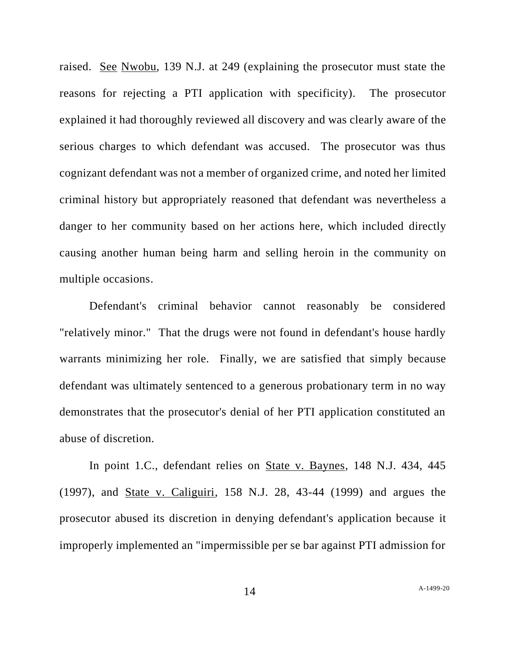raised. See Nwobu, 139 N.J. at 249 (explaining the prosecutor must state the reasons for rejecting a PTI application with specificity). The prosecutor explained it had thoroughly reviewed all discovery and was clearly aware of the serious charges to which defendant was accused. The prosecutor was thus cognizant defendant was not a member of organized crime, and noted her limited criminal history but appropriately reasoned that defendant was nevertheless a danger to her community based on her actions here, which included directly causing another human being harm and selling heroin in the community on multiple occasions.

Defendant's criminal behavior cannot reasonably be considered "relatively minor." That the drugs were not found in defendant's house hardly warrants minimizing her role. Finally, we are satisfied that simply because defendant was ultimately sentenced to a generous probationary term in no way demonstrates that the prosecutor's denial of her PTI application constituted an abuse of discretion.

In point 1.C., defendant relies on State v. Baynes, 148 N.J. 434, 445 (1997), and State v. Caliguiri, 158 N.J. 28, 43-44 (1999) and argues the prosecutor abused its discretion in denying defendant's application because it improperly implemented an "impermissible per se bar against PTI admission for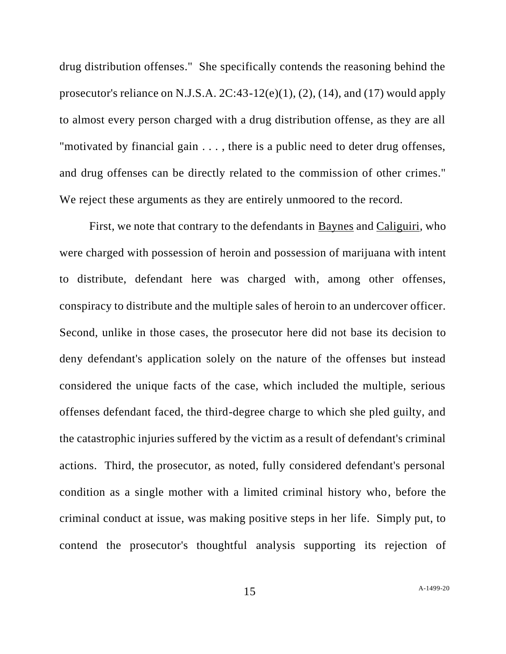drug distribution offenses." She specifically contends the reasoning behind the prosecutor's reliance on N.J.S.A.  $2C:43-12(e)(1)$ ,  $(2)$ ,  $(14)$ , and  $(17)$  would apply to almost every person charged with a drug distribution offense, as they are all "motivated by financial gain . . . , there is a public need to deter drug offenses, and drug offenses can be directly related to the commission of other crimes." We reject these arguments as they are entirely unmoored to the record.

First, we note that contrary to the defendants in Baynes and Caliguiri*,* who were charged with possession of heroin and possession of marijuana with intent to distribute, defendant here was charged with, among other offenses, conspiracy to distribute and the multiple sales of heroin to an undercover officer. Second, unlike in those cases, the prosecutor here did not base its decision to deny defendant's application solely on the nature of the offenses but instead considered the unique facts of the case, which included the multiple, serious offenses defendant faced, the third-degree charge to which she pled guilty, and the catastrophic injuries suffered by the victim as a result of defendant's criminal actions. Third, the prosecutor, as noted, fully considered defendant's personal condition as a single mother with a limited criminal history who, before the criminal conduct at issue, was making positive steps in her life. Simply put, to contend the prosecutor's thoughtful analysis supporting its rejection of